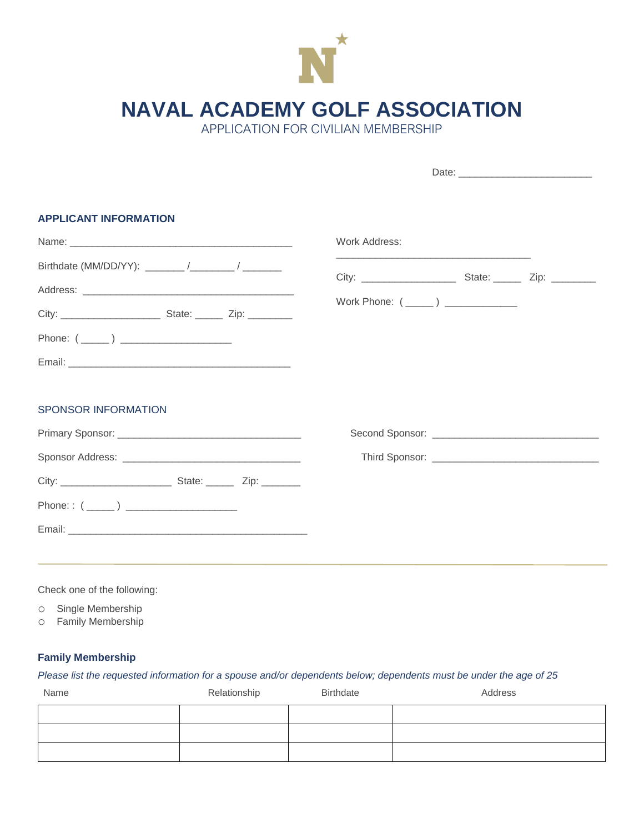

**NAVAL ACADEMY GOLF ASSOCIATION**

APPLICATION FOR CIVILIAN MEMBERSHIP

| <b>APPLICANT INFORMATION</b> |  |  |                                                                                                                        |  |  |  |
|------------------------------|--|--|------------------------------------------------------------------------------------------------------------------------|--|--|--|
|                              |  |  | Work Address:                                                                                                          |  |  |  |
|                              |  |  | <u> 1989 - Johann John Stone, market fan it ferskearre fan it ferskearre fan it ferskearre fan it ferskearre fan i</u> |  |  |  |
|                              |  |  |                                                                                                                        |  |  |  |
|                              |  |  |                                                                                                                        |  |  |  |
|                              |  |  |                                                                                                                        |  |  |  |
|                              |  |  |                                                                                                                        |  |  |  |
| <b>SPONSOR INFORMATION</b>   |  |  |                                                                                                                        |  |  |  |
|                              |  |  |                                                                                                                        |  |  |  |
|                              |  |  |                                                                                                                        |  |  |  |
|                              |  |  |                                                                                                                        |  |  |  |
| Phone: : $(\_\_)$            |  |  |                                                                                                                        |  |  |  |
|                              |  |  |                                                                                                                        |  |  |  |
|                              |  |  |                                                                                                                        |  |  |  |
|                              |  |  |                                                                                                                        |  |  |  |

Check one of the following:

o Single Membership

o Family Membership

## **Family Membership**

## *Please list the requested information for a spouse and/or dependents below; dependents must be under the age of 25*

| Name | Relationship | <b>Birthdate</b> | Address |
|------|--------------|------------------|---------|
|      |              |                  |         |
|      |              |                  |         |
|      |              |                  |         |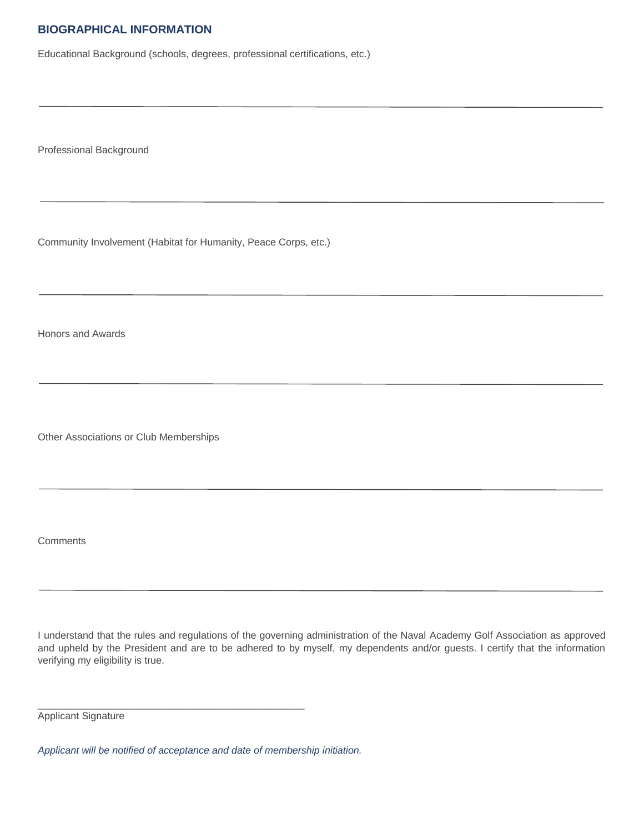## **BIOGRAPHICAL INFORMATION**

Educational Background (schools, degrees, professional certifications, etc.)

Professional Background

Community Involvement (Habitat for Humanity, Peace Corps, etc.)

Honors and Awards

Other Associations or Club Memberships

**Comments** 

I understand that the rules and regulations of the governing administration of the Naval Academy Golf Association as approved and upheld by the President and are to be adhered to by myself, my dependents and/or guests. I certify that the information verifying my eligibility is true.

Applicant Signature

*Applicant will be notified of acceptance and date of membership initiation.*

\_\_\_\_\_\_\_\_\_\_\_\_\_\_\_\_\_\_\_\_\_\_\_\_\_\_\_\_\_\_\_\_\_\_\_\_\_\_\_\_\_\_\_\_\_\_\_\_